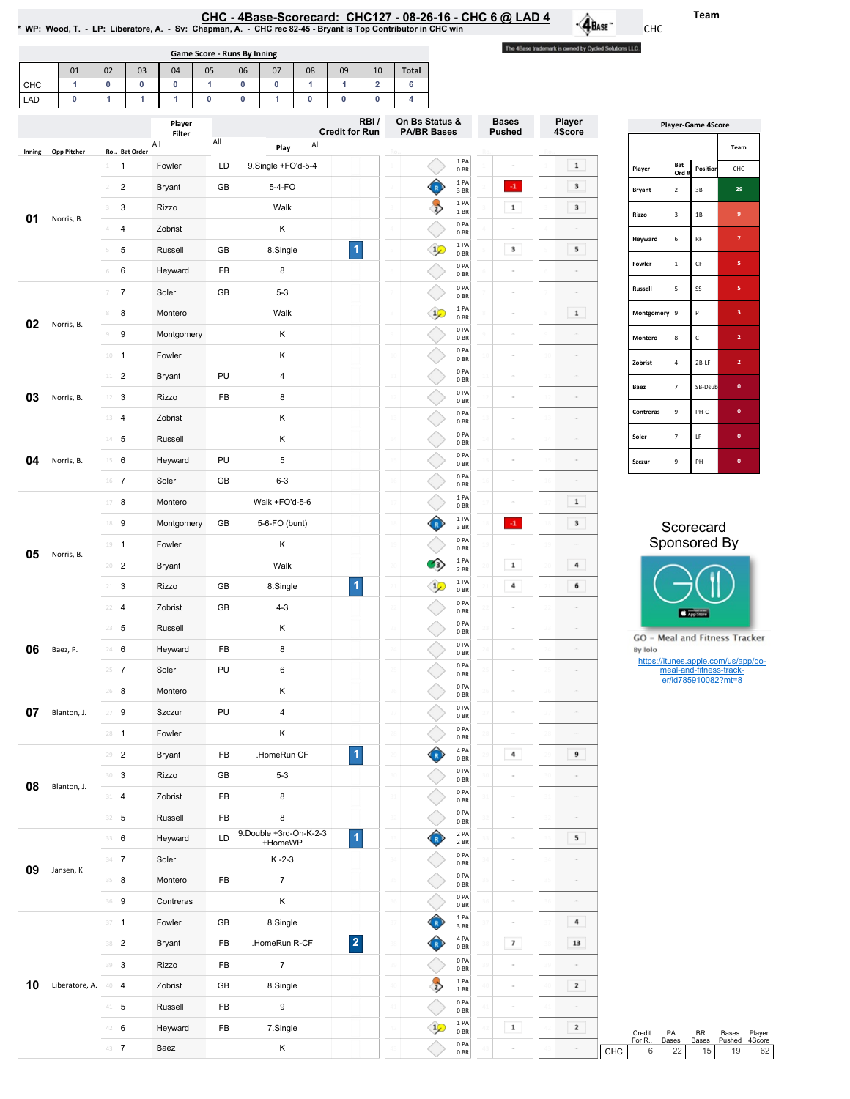| CHC - 4Base-Scorecard: CHC127 - 08-26-16 - CHC 6 @ LAD 4                                                      |  |
|---------------------------------------------------------------------------------------------------------------|--|
| NP: Wood, T. - LP: Liberatore, A. - Sv: Chapman, A. - CHC rec 82-45 - Bryant is Top Contributor in CHC win ** |  |

The 4Base trademark is owned by Cycled Solutions LLC.

 $\cdot$   $\bigoplus$  Base

|        |                  |                                  |              |                  | <b>Game Score - Runs By Inning</b> |    |                                   |     |                         |                         |                                      |               |                        |    |                               |    | The 4Base trademark is owned by Cycle |
|--------|------------------|----------------------------------|--------------|------------------|------------------------------------|----|-----------------------------------|-----|-------------------------|-------------------------|--------------------------------------|---------------|------------------------|----|-------------------------------|----|---------------------------------------|
|        | 01               | 02                               | 03           | 04               | 05                                 | 06 | 07                                | 08  | 09                      | 10                      | <b>Total</b>                         |               |                        |    |                               |    |                                       |
| CHC    | 1                | 0                                | 0            | 0                | 1                                  | 0  | 0                                 | 1   | $\mathbf{1}$            | $\overline{\mathbf{2}}$ | 6                                    |               |                        |    |                               |    |                                       |
| LAD    | 0                | 1                                | 1            | 1                | 0                                  | 0  | 1                                 | 0   | 0                       | 0                       | 4                                    |               |                        |    |                               |    |                                       |
|        |                  |                                  |              | Player<br>Filter |                                    |    |                                   |     | <b>Credit for Run</b>   | RBI/                    | On Bs Status &<br><b>PA/BR Bases</b> |               |                        |    | <b>Bases</b><br><b>Pushed</b> |    | Player<br>4Score                      |
| Inning | Opp Pitcher      |                                  | Ro Bat Order | All              | All                                |    | Play                              | All |                         |                         |                                      |               |                        |    |                               |    |                                       |
|        |                  | 1<br>$\perp$                     |              | Fowler           | LD                                 |    | 9.Single +FO'd-5-4                |     |                         |                         |                                      |               | 1PA<br>0BR             |    |                               |    | $\mathbf 1$                           |
|        |                  | $\overline{c}$<br>$\overline{2}$ |              | Bryant           | GB                                 |    | 5-4-FO                            |     |                         |                         |                                      |               | 1PA<br>3BR             |    | $\mathbf{-1}$                 |    | 3                                     |
|        |                  | 3<br>3                           |              | <b>Rizzo</b>     |                                    |    | Walk                              |     |                         |                         |                                      | $\Rightarrow$ | 1PA<br>1 BR            |    | $\mathbf 1$                   |    | 3                                     |
| 01     | Norris, B.       | 4<br>4                           |              | Zobrist          |                                    |    | κ                                 |     |                         |                         |                                      |               | 0PA<br>0 <sub>BR</sub> |    |                               |    |                                       |
|        |                  | 5<br>5                           |              | Russell          | GB                                 |    | 8.Single                          |     | 1                       |                         |                                      | $\mathcal{P}$ | 1PA<br>0 <sub>BR</sub> |    | 3                             |    | 5                                     |
|        |                  | 6<br>$\,$ 6                      |              | Heyward          | FB                                 |    | 8                                 |     |                         |                         |                                      |               | 0PA<br>0 <sub>BR</sub> |    |                               |    |                                       |
|        |                  | $\overline{7}$<br>7              |              | Soler            | GB                                 |    | $5 - 3$                           |     |                         |                         |                                      |               | 0PA<br>0 <sub>BR</sub> |    |                               |    |                                       |
|        |                  | 8<br>8                           |              | Montero          |                                    |    | Walk                              |     |                         |                         |                                      | $\frac{1}{2}$ | 1PA<br>0 <sub>BR</sub> |    |                               |    | $\mathbf 1$                           |
| 02     | Norris, B.       | 9<br>$\mathcal Q$                |              | Montgomery       |                                    |    | Κ                                 |     |                         |                         |                                      |               | 0PA<br>0 <sub>BR</sub> |    |                               |    |                                       |
|        |                  | $10 - 1$                         |              | Fowler           |                                    |    | Κ                                 |     |                         |                         | $\frac{1}{2}$                        |               | 0PA<br>0 <sub>BR</sub> |    |                               |    |                                       |
|        |                  | $11 -$<br>$\overline{2}$         |              | Bryant           | PU                                 |    | 4                                 |     |                         |                         | $\frac{1}{2}$                        |               | 0PA<br>0 <sub>BR</sub> |    | ÷                             |    |                                       |
| 03     | Norris, B.       | 3<br>12                          |              | <b>Rizzo</b>     | FB                                 |    | 8                                 |     |                         |                         | $\overline{12}$                      |               | 0PA<br>0 <sub>BR</sub> |    |                               |    |                                       |
|        |                  | 13 4                             |              | Zobrist          |                                    |    | Κ                                 |     |                         |                         | $\frac{1}{2}$                        |               | 0PA                    |    | $\sim$                        |    |                                       |
|        |                  | $14 - 5$                         |              | Russell          |                                    |    | Κ                                 |     |                         |                         | $\frac{1}{4}$                        |               | 0 <sub>BR</sub><br>0PA |    | ×                             |    |                                       |
|        | 04<br>Norris, B. | $15 \t 6$                        |              | Heyward          | PU                                 |    | 5                                 |     |                         |                         | 15                                   |               | 0 <sub>BR</sub><br>0PA |    | ÷                             |    |                                       |
|        |                  | $16 -$<br>$\overline{7}$         |              | Soler            | GB                                 |    | $6 - 3$                           |     |                         |                         | 16                                   |               | 0BR<br>0PA             | Ľ  |                               |    |                                       |
|        |                  | 8<br>17                          |              | Montero          |                                    |    | Walk +FO'd-5-6                    |     |                         |                         | $\overline{17}$                      |               | 0BR<br>1PA             |    | $\alpha$                      |    | $\mathbf 1$                           |
|        |                  | 9                                |              |                  |                                    |    |                                   |     |                         |                         | 18                                   |               | 0BR<br>1PA             |    | $\cdot 1$                     |    | 3                                     |
|        |                  | 18                               |              | Montgomery       | GB                                 |    | 5-6-FO (bunt)                     |     |                         |                         |                                      | $\mathbb{R}$  | 3 BR<br>0PA            |    |                               |    |                                       |
| 05     | Norris, B.       | 19<br>$\overline{1}$             |              | Fowler           |                                    |    | Κ                                 |     |                         |                         | 19                                   | G3)           | 0 BR<br>1PA            |    |                               |    |                                       |
|        |                  | 20<br>$\overline{2}$             |              | Bryant           |                                    |    | Walk                              |     |                         |                         | $\overline{20}$                      |               | 2 BR<br>1PA            |    | $\mathbf 1$                   |    | 4                                     |
|        |                  | 21<br>3                          |              | <b>Rizzo</b>     | GB                                 |    | 8.Single                          |     | 1                       |                         | $\overline{21}$                      | $\frac{1}{2}$ | 0 <sub>BR</sub><br>0PA |    | 4                             |    | 6                                     |
|        |                  | $\overline{4}$<br>22             |              | Zobrist          | GB                                 |    | $4 - 3$                           |     |                         |                         | $\overline{22}$                      |               | 0BR<br>0PA             |    |                               |    |                                       |
|        |                  | 5<br>23                          |              | Russell          |                                    |    | κ                                 |     |                         |                         | $\overline{23}$                      |               | 0 <sub>BR</sub><br>0PA |    | $\sim$                        |    |                                       |
| 06     | Baez, P.         | 6<br>24                          |              | Heyward          | FB                                 |    | 8                                 |     |                         |                         | $\overline{24}$                      |               | 0BR<br>0PA             |    | ÷                             |    | $\overline{a}$                        |
|        |                  | $\overline{7}$                   |              | Soler            | PU                                 |    | 6                                 |     |                         |                         |                                      |               | 0B<br>0PA              |    |                               |    |                                       |
|        |                  | $26$ 8                           |              | Montero          |                                    |    | Κ                                 |     |                         |                         | 26                                   |               | 0B<br>0PA              |    |                               |    |                                       |
| 07     | Blanton, J.      | 9<br>27                          |              | Szczur           | PU                                 |    | 4                                 |     |                         |                         | $\overline{27}$                      |               | 0B<br>0PA              |    | ÷                             |    |                                       |
|        |                  | $28 - 1$                         |              | Fowler           |                                    |    | Κ                                 |     |                         |                         | 28                                   |               | 0 BR                   |    |                               |    |                                       |
|        |                  | $\overline{2}$<br>29             |              | Bryant           | FB                                 |    | .HomeRun CF                       |     | $\overline{1}$          |                         | $^{29}$                              |               | 4 PA<br>0 BR           |    | 4                             |    | 9                                     |
| 08     | Blanton, J.      | $\mathbb{B}^0$ – $\mathbf{3}$    |              | Rizzo            | GB                                 |    | $5 - 3$                           |     |                         |                         | $\overline{30}$                      |               | 0PA<br>0 BR            |    |                               |    |                                       |
|        |                  | $31 - 4$                         |              | Zobrist          | FB                                 |    | 8                                 |     |                         |                         | $\overline{31}$                      |               | 0PA<br>0BR             |    | $\bar{ }$                     |    |                                       |
|        |                  | $32 - 5$                         |              | Russell          | FB                                 |    | 8                                 |     |                         |                         | $\overline{32}$                      |               | 0PA<br>0BR             |    | $\sim$                        |    |                                       |
|        |                  | 33 6                             |              | Heyward          | LD                                 |    | 9.Double +3rd-On-K-2-3<br>+HomeWP |     | $\vert$                 |                         | $\overline{33}$                      |               | 2 PA<br>2 BR           |    | ÷                             |    | 5                                     |
| 09     | Jansen, K        | $34 - 7$                         |              | Soler            |                                    |    | $K - 2 - 3$                       |     |                         |                         | $\overline{34}$                      |               | 0PA<br>0BR             |    | $\sim$                        |    |                                       |
|        |                  | $35 \t 8$                        |              | Montero          | FB                                 |    | $\overline{7}$                    |     |                         |                         | 35                                   |               | 0PA<br>0B              | 35 | $\alpha$                      |    |                                       |
|        |                  | 36 9                             |              | Contreras        |                                    |    | Κ                                 |     |                         |                         | 36                                   |               | 0PA<br>0B              |    | $\sim$                        |    |                                       |
|        |                  | $37 - 1$                         |              | Fowler           | GB                                 |    | 8.Single                          |     |                         |                         | $\frac{37}{2}$                       |               | 1PA<br>3 BR            |    | ÷                             |    | 4                                     |
|        |                  | $\overline{2}$<br>38             |              | Bryant           | FB                                 |    | .HomeRun R-CF                     |     | $\overline{\mathbf{2}}$ |                         | $\overline{38}$                      |               | 4 PA<br>0B             |    | $\overline{\phantom{a}}$      |    | 13                                    |
|        |                  | 39 3                             |              | Rizzo            | FB                                 |    | $\overline{7}$                    |     |                         |                         | 39                                   |               | 0PA<br>0 BR            |    |                               | 39 |                                       |
| 10     | Liberatore, A.   | 40<br>$\overline{4}$             |              | Zobrist          | GB                                 |    | 8.Single                          |     |                         |                         | 40                                   | $\Rightarrow$ | 1PA<br>1 BR            |    |                               |    | 2                                     |
|        |                  | $41 - 5$                         |              | Russell          | FB                                 |    | 9                                 |     |                         |                         | 41                                   |               | 0PA<br>0B              |    |                               |    |                                       |
|        |                  | 42 6                             |              | Heyward          | FB                                 |    | 7.Single                          |     |                         |                         | 42                                   | $\mathcal{L}$ | 1PA<br>0 <sub>BR</sub> |    | $\mathbf 1$                   |    | 2                                     |

43

OPA<br>OBR

43

43 7 Baez K

| <b>Player-Game 4Score</b> |                         |          |                |  |  |  |  |  |  |  |
|---------------------------|-------------------------|----------|----------------|--|--|--|--|--|--|--|
|                           |                         |          | Team           |  |  |  |  |  |  |  |
| Player                    | Bat<br>Ord#             | Position | CHC            |  |  |  |  |  |  |  |
| <b>Bryant</b>             | $\overline{2}$          | 3B       | 29             |  |  |  |  |  |  |  |
| Rizzo                     | $\overline{\mathbf{3}}$ | 1B       | 9              |  |  |  |  |  |  |  |
| Heyward                   | 6                       | RF       | $\overline{z}$ |  |  |  |  |  |  |  |
| Fowler                    | $\overline{1}$          | CF       | 5              |  |  |  |  |  |  |  |
| Russell                   | 5                       | SS       | 5              |  |  |  |  |  |  |  |
| Montgomery                | 9                       | P        | 3              |  |  |  |  |  |  |  |
| Montero                   | 8                       | C        | $\overline{2}$ |  |  |  |  |  |  |  |
| Zobrist                   | 4                       | $2B-LF$  | $\overline{2}$ |  |  |  |  |  |  |  |
| Baez                      | $\overline{7}$          | SB-Dsub  | $\mathbf{0}$   |  |  |  |  |  |  |  |
| Contreras                 | 9                       | PH-C     | Ō              |  |  |  |  |  |  |  |
| Soler                     | $\overline{7}$          | LF       | $\mathbf{0}$   |  |  |  |  |  |  |  |
| Szczur                    | 9                       | PH       | O              |  |  |  |  |  |  |  |

### Scorecard Sponsored By



**GO** - Meal and Fitness Tracker By lolo

https://itunes.apple.com/us/app/go-meal-and-fitness-track-er/id785910082?mt=8

Credit ForR..

PA Bases

BR Bases Credit PA BR Bases Player<br>
For R... Bases Bases Pushed 4Score<br>
CHC 6 22 15 19 62

Player 4Score

Team

CHC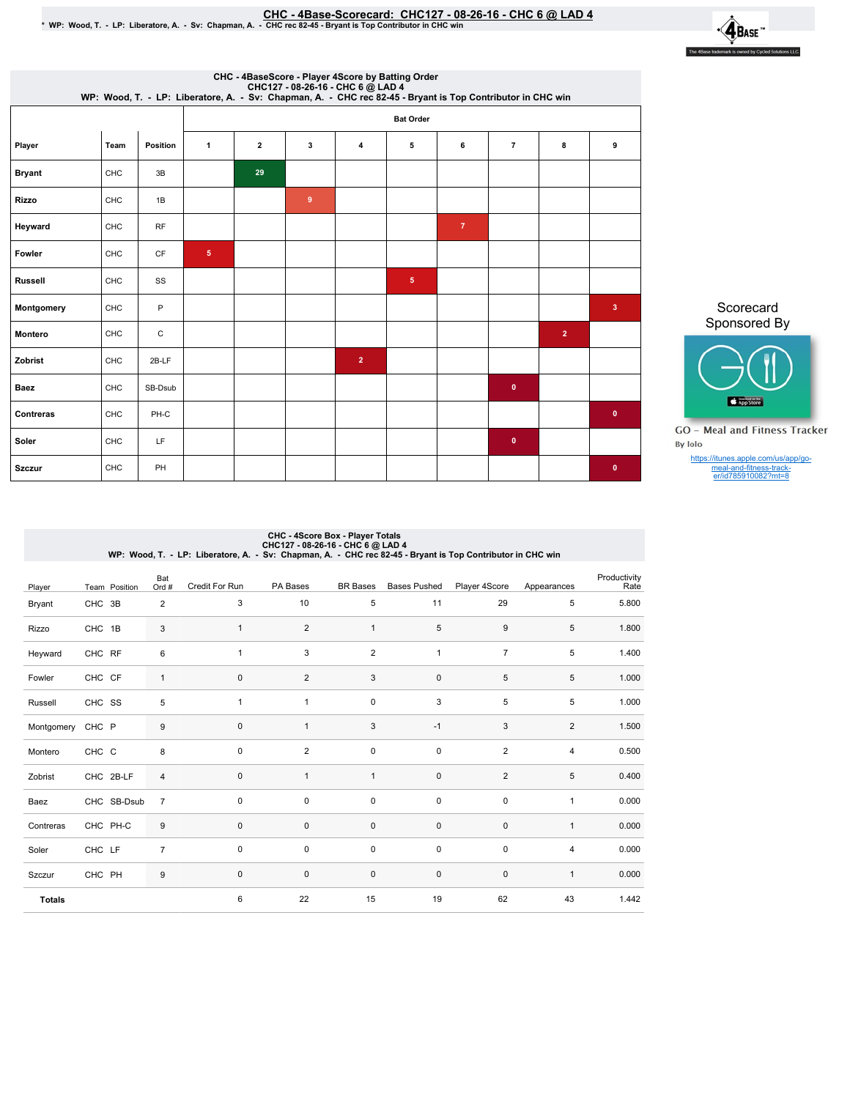## CHC-4Base-Scorecard:CHC127-08-26-16-CHC6@ LAD4 \*WP:Wood,T.-LP:Liberatore,A.-Sv:Chapman,A.-CHCrec82-45-BryantisTopContributorinCHCwin

 $\cdot \mathbf{A}_{\text{Base}}$ The 4Base trademark is owned by Cycled Solutions LLC.

| CHC - 4BaseScore - Player 4Score by Batting Order<br>CHC127 - 08-26-16 - CHC 6 @ LAD 4<br>WP: Wood, T. - LP: Liberatore, A. - Sv: Chapman, A. - CHC rec 82-45 - Bryant is Top Contributor in CHC win |      |              |                  |                |                  |                |                |                |                |                |                         |  |
|------------------------------------------------------------------------------------------------------------------------------------------------------------------------------------------------------|------|--------------|------------------|----------------|------------------|----------------|----------------|----------------|----------------|----------------|-------------------------|--|
|                                                                                                                                                                                                      |      |              | <b>Bat Order</b> |                |                  |                |                |                |                |                |                         |  |
| Player                                                                                                                                                                                               | Team | Position     | $\mathbf{1}$     | $\overline{2}$ | 3                | $\overline{4}$ | 5              | 6              | $\overline{7}$ | 8              | 9                       |  |
| <b>Bryant</b>                                                                                                                                                                                        | CHC  | 3B           |                  | 29             |                  |                |                |                |                |                |                         |  |
| <b>Rizzo</b>                                                                                                                                                                                         | CHC  | 1B           |                  |                | $\boldsymbol{9}$ |                |                |                |                |                |                         |  |
| Heyward                                                                                                                                                                                              | CHC  | <b>RF</b>    |                  |                |                  |                |                | $\overline{7}$ |                |                |                         |  |
| Fowler                                                                                                                                                                                               | CHC  | <b>CF</b>    | 5 <sub>5</sub>   |                |                  |                |                |                |                |                |                         |  |
| <b>Russell</b>                                                                                                                                                                                       | CHC  | SS           |                  |                |                  |                | $\overline{5}$ |                |                |                |                         |  |
| Montgomery                                                                                                                                                                                           | CHC  | P            |                  |                |                  |                |                |                |                |                | $\overline{\mathbf{3}}$ |  |
| <b>Montero</b>                                                                                                                                                                                       | CHC  | $\mathtt{C}$ |                  |                |                  |                |                |                |                | $\overline{2}$ |                         |  |
| Zobrist                                                                                                                                                                                              | CHC  | 2B-LF        |                  |                |                  | $\overline{2}$ |                |                |                |                |                         |  |
| Baez                                                                                                                                                                                                 | CHC  | SB-Dsub      |                  |                |                  |                |                |                | $\mathbf{0}$   |                |                         |  |
| Contreras                                                                                                                                                                                            | CHC  | PH-C         |                  |                |                  |                |                |                |                |                | $\mathbf{0}$            |  |
| Soler                                                                                                                                                                                                | CHC  | LF           |                  |                |                  |                |                |                | $\mathbf{0}$   |                |                         |  |
| <b>Szczur</b>                                                                                                                                                                                        | CHC  | PH           |                  |                |                  |                |                |                |                |                | $\bullet$               |  |

Scorecard Sponsored By



**GO** - Meal and Fitness Tracker By Iolo



# CHC - 4Score Box - Player Totals<br>CHC127 - 08-26-16 - CHC 6 @ LAD4<br>WP: Wood, T. - LP: Liberatore, A. - Sv: Chapman, A. - CHC rec 82-45 - Bryant is Top Contributor in CHC win

| Player        |        | Team Position | Bat<br>Ord #     | Credit For Run | PA Bases       | <b>BR</b> Bases | <b>Bases Pushed</b> | Player 4Score    | Appearances    | Productivity<br>Rate |
|---------------|--------|---------------|------------------|----------------|----------------|-----------------|---------------------|------------------|----------------|----------------------|
| Bryant        | CHC 3B |               | $\sqrt{2}$       | 3              | 10             | 5               | 11                  | 29               | 5              | 5.800                |
| Rizzo         | CHC 1B |               | 3                | $\mathbf{1}$   | $\overline{2}$ | $\mathbf{1}$    | 5                   | $\boldsymbol{9}$ | 5              | 1.800                |
| Heyward       | CHC RF |               | 6                | $\mathbf{1}$   | 3              | $\overline{2}$  | 1                   | $\overline{7}$   | 5              | 1.400                |
| Fowler        | CHC CF |               | $\mathbf{1}$     | $\mathbf 0$    | $\overline{2}$ | 3               | $\pmb{0}$           | 5                | 5              | 1.000                |
| Russell       | CHC SS |               | 5                | $\mathbf{1}$   | $\overline{1}$ | 0               | 3                   | 5                | 5              | 1.000                |
| Montgomery    | CHC P  |               | $9\,$            | $\mathbf 0$    | $\overline{1}$ | 3               | $-1$                | 3                | $\overline{2}$ | 1.500                |
| Montero       | CHC C  |               | 8                | $\mathbf 0$    | $\overline{2}$ | $\pmb{0}$       | 0                   | $\overline{2}$   | 4              | 0.500                |
| Zobrist       |        | CHC 2B-LF     | $\overline{4}$   | 0              | $\mathbf{1}$   | $\mathbf{1}$    | $\pmb{0}$           | $\overline{2}$   | 5              | 0.400                |
| Baez          |        | CHC SB-Dsub   | $\overline{7}$   | 0              | $\mathbf 0$    | $\mathbf 0$     | 0                   | $\pmb{0}$        | $\mathbf{1}$   | 0.000                |
| Contreras     |        | CHC PH-C      | $9\,$            | $\mathbf 0$    | $\mathbf 0$    | $\mathbf 0$     | $\pmb{0}$           | $\mathsf 0$      | $\mathbf{1}$   | 0.000                |
| Soler         | CHC LF |               | $\overline{7}$   | 0              | $\pmb{0}$      | 0               | 0                   | $\pmb{0}$        | 4              | 0.000                |
| Szczur        | CHC PH |               | $\boldsymbol{9}$ | 0              | $\pmb{0}$      | 0               | $\pmb{0}$           | $\pmb{0}$        | $\mathbf{1}$   | 0.000                |
| <b>Totals</b> |        |               |                  | 6              | 22             | 15              | 19                  | 62               | 43             | 1.442                |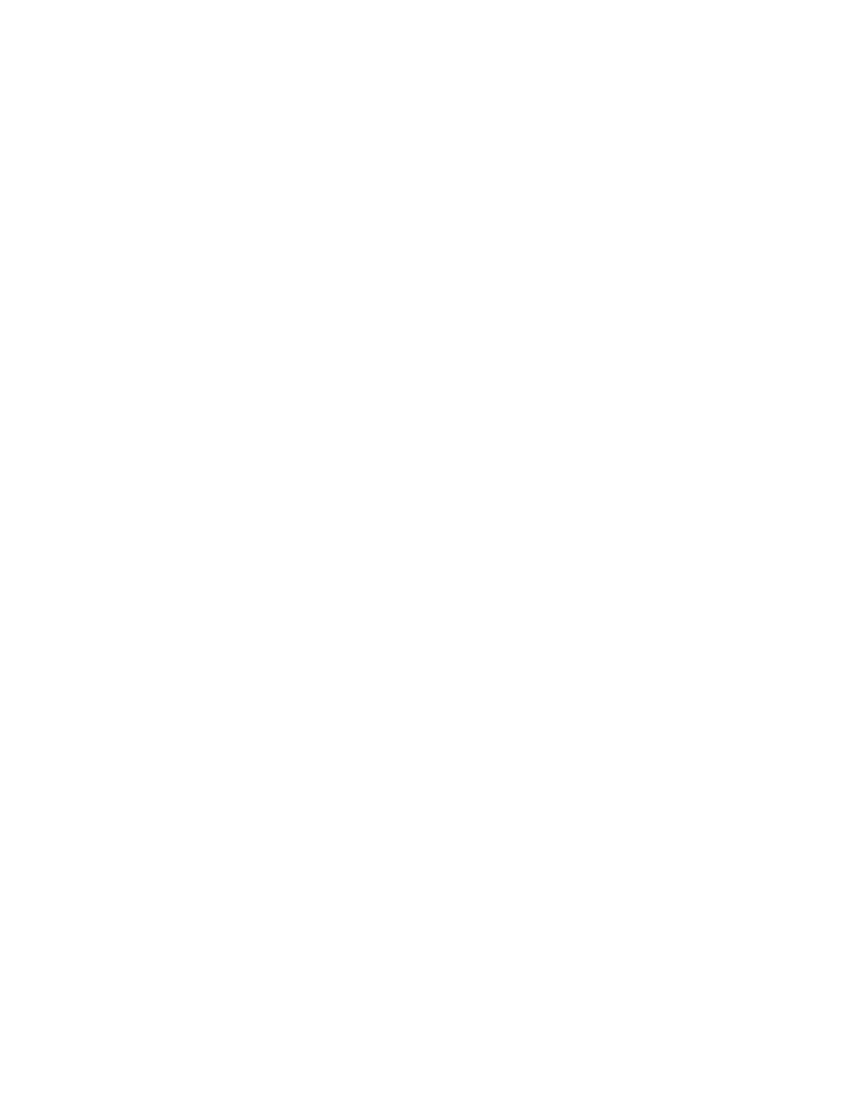|             |         |                  | $8 + 8$<br>$: 3 : RRG7 \rightarrow 3 / LEH$ DMRUH \$ | $8 + 8$ |           | %DVH6FRUH 30DXHU 6FRUHE\%DWMQJ2UGHU<br>$8+8$ # $/$ \$'<br>6Y & KDSPDQ\$ & + & UHF %UIDQWLV 7RS&RQMUEXWRULQ& + & ZLQ |  |  |  |  |  |
|-------------|---------|------------------|------------------------------------------------------|---------|-----------|---------------------------------------------------------------------------------------------------------------------|--|--|--|--|--|
|             |         |                  |                                                      |         | %DW2 UGHU |                                                                                                                     |  |  |  |  |  |
| 300 HU      | 7HDP    | 3 RVIMRQ         |                                                      |         |           |                                                                                                                     |  |  |  |  |  |
| %U DQW      | $8 + 8$ | %                |                                                      |         |           |                                                                                                                     |  |  |  |  |  |
| 54]R        | $8 + 8$ | %                |                                                      |         |           |                                                                                                                     |  |  |  |  |  |
| $+HZDUS$    | $8 + 8$ | 5)               |                                                      |         |           |                                                                                                                     |  |  |  |  |  |
| ) RZ OHU    | $8 + 8$ | &)               |                                                      |         |           |                                                                                                                     |  |  |  |  |  |
| 5 XVVHOO    | $8 + 8$ | 66               |                                                      |         |           |                                                                                                                     |  |  |  |  |  |
| 0 ROW RP HU | $8 + 8$ | 3                |                                                      |         |           |                                                                                                                     |  |  |  |  |  |
| 0 RQMMUR    | $8 + 8$ | &                |                                                      |         |           |                                                                                                                     |  |  |  |  |  |
| $=$ REULWV  | $8 + 8$ | %()              |                                                      |         |           |                                                                                                                     |  |  |  |  |  |
| %DH         | $8 + 8$ | 6%' VXE          |                                                      |         |           |                                                                                                                     |  |  |  |  |  |
| & ROWHLDV   | $8 + 8$ | $3 + 8$          |                                                      |         |           |                                                                                                                     |  |  |  |  |  |
| 6ROHU       | $8 + 8$ | $\left( \right)$ |                                                      |         |           |                                                                                                                     |  |  |  |  |  |
| 6] FJ XU    | $8 + 8$ | $3+$             |                                                      |         |           |                                                                                                                     |  |  |  |  |  |

: 3 : RRG 7 / 3 / LEHUMRUH\$ 6Y & KDSPDQ\$  $\frac{8+8}{8+8}$   $\frac{\%DMH6FRU + FDCs}{\%U$  DQM2 7RS&RQMLEXMRULQ&+& ZLQ

#### 6 FRUHFDUG 6 SRQVRUHG%

<u>KWOSY WACHYDSSON FRP XVDSSJR</u><br>PHDCDQGILWOHAYWOFN<br>HULG "PW"

|                    |                  |                       | : $3$ : RRG 7 / $3$ / LEHLDMRUH $$$ 6Y & KDSPDQ $$$ & + & UHF | & + & 6 FRUH%R[ 300\HU7RW00Y<br>$8 + 8$ | $8+8$ # / \$' |                                  | % UI DOWLY 7 RS & ROWLEXWRULD & + & Z LD |              |                    |
|--------------------|------------------|-----------------------|---------------------------------------------------------------|-----------------------------------------|---------------|----------------------------------|------------------------------------------|--------------|--------------------|
| 30 NU              | 7HDP 3RVMLIRQ    | %DW<br>$2 \text{ US}$ | & UHGLV) RU5 XQ                                               | 3\$ %DMHV                               |               | %5 %DVHV %DVHV3XVKHG 300\HU6FRUH |                                          | \$SSHDUDGFHV | 3 URGXFWYUW<br>5DM |
| %UDQW              | $8+8$ %          |                       |                                                               |                                         |               |                                  |                                          |              |                    |
| $5$ $\uparrow$ ] R | $8+8$ %          |                       |                                                               |                                         |               |                                  |                                          |              |                    |
| $+HZDIB$           | $8+8$ 5)         |                       |                                                               |                                         |               |                                  |                                          |              |                    |
| ) RZ OHU           | $& 8 + 8 & 8 \}$ |                       |                                                               |                                         |               |                                  |                                          |              |                    |
| 5 XVVHO            | $&+866$          |                       |                                                               |                                         |               |                                  |                                          |              |                    |
| 0 RQW/RPHU & + & 3 |                  |                       |                                                               |                                         |               |                                  |                                          |              |                    |
| 0 RQMUR            | $8 + 8$ $8$      |                       |                                                               |                                         |               |                                  |                                          |              |                    |
| $=$ REULWV         | $8+8$ %/)        |                       |                                                               |                                         |               |                                  |                                          |              |                    |
| %DH                | &+& 6%' VXE      |                       |                                                               |                                         |               |                                  |                                          |              |                    |
| & ROWHUDV          | $&+8$ 3+ &       |                       |                                                               |                                         |               |                                  |                                          |              |                    |
| 6 ROHU             | $8+8$ ()         |                       |                                                               |                                         |               |                                  |                                          |              |                    |
| $6$   F  XU        | $8+8$ 3+         |                       |                                                               |                                         |               |                                  |                                          |              |                    |
| 7RWDOV             |                  |                       |                                                               |                                         |               |                                  |                                          |              |                    |
|                    |                  |                       |                                                               |                                         |               |                                  |                                          |              |                    |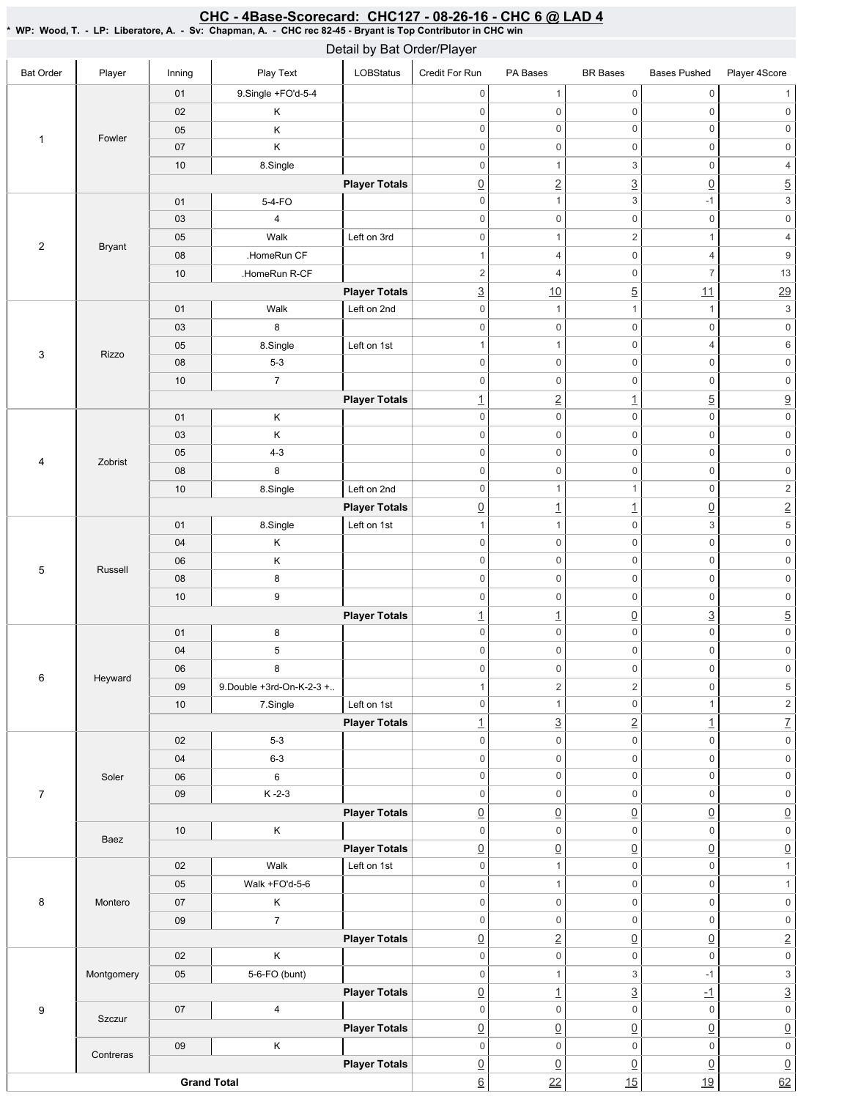#### <u>CHC - 4Base-Scorecard: CHC127 - 08-26-16 - CHC 6 @ LAD 4</u>

\*WP:Wood,T.-LP:Liberatore,A.-Sv:Chapman,A.-CHCrec82-45-BryantisTopContributorinCHCwin

| Detail by Bat Order/Player |               |        |                           |                      |                 |                     |                          |                          |                           |  |  |  |
|----------------------------|---------------|--------|---------------------------|----------------------|-----------------|---------------------|--------------------------|--------------------------|---------------------------|--|--|--|
| <b>Bat Order</b>           | Player        | Inning | Play Text                 | LOBStatus            | Credit For Run  | PA Bases            | <b>BR</b> Bases          | <b>Bases Pushed</b>      | Player 4Score             |  |  |  |
|                            |               | 01     | 9.Single +FO'd-5-4        |                      | $\mathbb O$     | $\mathbf{1}$        | $\mathsf{O}\xspace$      | $\mathbb O$              | 1                         |  |  |  |
|                            |               | 02     | Κ                         |                      | $\mathbf 0$     | $\mathsf{O}\xspace$ | $\mathsf{O}\xspace$      | $\mathbf 0$              | $\mathbf 0$               |  |  |  |
|                            |               | 05     | Κ                         |                      | $\mathbb O$     | $\mathsf{O}\xspace$ | $\mathsf{O}\xspace$      | $\mathsf 0$              | $\mathbf 0$               |  |  |  |
| $\mathbf{1}$               | Fowler        | 07     | Κ                         |                      | $\mathbf 0$     | $\mathsf{O}\xspace$ | $\mathsf 0$              | $\boldsymbol{0}$         | $\boldsymbol{0}$          |  |  |  |
|                            |               | 10     | 8.Single                  |                      | $\mathbf 0$     | $\mathbf{1}$        | 3                        | $\mathbb O$              | $\sqrt{4}$                |  |  |  |
|                            |               |        |                           | <b>Player Totals</b> | $\underline{0}$ | $\overline{2}$      | $\underline{3}$          | $\underline{0}$          | $\overline{5}$            |  |  |  |
|                            |               | 01     | 5-4-FO                    |                      | $\mathbb O$     | $\mathbf{1}$        | $\,$ 3 $\,$              | $-1$                     | $\mathsf 3$               |  |  |  |
|                            |               | 03     | $\pmb{4}$                 |                      | $\mathbb O$     | $\mathsf{O}\xspace$ | $\mathsf 0$              | $\mathbb O$              | $\mathbf 0$               |  |  |  |
| $\overline{2}$             |               | 05     | Walk                      | Left on 3rd          | $\mathbb O$     | $\mathbf{1}$        | $\overline{\mathbf{c}}$  | $\mathbf{1}$             | $\sqrt{4}$                |  |  |  |
|                            | <b>Bryant</b> | 08     | .HomeRun CF               |                      | $\mathbf{1}$    | $\overline{4}$      | $\mathsf 0$              | $\overline{4}$           | $\boldsymbol{9}$          |  |  |  |
|                            |               | 10     | .HomeRun R-CF             |                      | $\overline{2}$  | $\overline{4}$      | $\mathsf 0$              | $\overline{7}$           | 13                        |  |  |  |
|                            |               |        |                           | <b>Player Totals</b> | $\overline{3}$  | 10                  | $\overline{5}$           | 11                       | 29                        |  |  |  |
|                            |               | 01     | Walk                      | Left on 2nd          | $\mathbf 0$     | $\mathbf{1}$        | $\mathbf{1}$             | $\mathbf{1}$             | $\ensuremath{\mathsf{3}}$ |  |  |  |
|                            |               | 03     | 8                         |                      | $\mathbb O$     | $\mathsf{O}\xspace$ | $\mathsf{O}\xspace$      | $\mathbf 0$              | $\mathsf{O}\xspace$       |  |  |  |
|                            | Rizzo         | 05     | 8.Single                  | Left on 1st          | $\mathbf{1}$    | $\mathbf{1}$        | $\mathsf 0$              | 4                        | $\,6\,$                   |  |  |  |
| 3                          |               | 08     | $5 - 3$                   |                      | $\,0\,$         | $\mathsf{O}\xspace$ | 0                        | $\mathbb O$              | $\mathsf{O}\xspace$       |  |  |  |
|                            |               | 10     | $\overline{7}$            |                      | $\mathbf 0$     | $\mathbf 0$         | $\mathsf 0$              | $\boldsymbol{0}$         | $\mathsf{O}\xspace$       |  |  |  |
|                            |               |        |                           | <b>Player Totals</b> | $\overline{1}$  | $\overline{2}$      | $\underline{\mathbf{1}}$ | $\overline{5}$           | $\overline{\partial}$     |  |  |  |
|                            |               | 01     | Κ                         |                      | $\mathbf 0$     | $\mathsf{O}\xspace$ | $\mathsf{O}\xspace$      | $\mathsf 0$              | $\mathsf{O}\xspace$       |  |  |  |
|                            |               | 03     | Κ                         |                      | $\mathbf 0$     | $\mathsf{O}\xspace$ | $\mathsf 0$              | $\mathbb O$              | $\mathsf{O}\xspace$       |  |  |  |
|                            |               | 05     | $4 - 3$                   |                      | $\mathbb O$     | $\mathsf{O}\xspace$ | $\mathsf{O}\xspace$      | $\mathbf 0$              | $\mathsf 0$               |  |  |  |
| $\overline{4}$             | Zobrist       | 08     | 8                         |                      | $\mathbb O$     | $\mathsf{O}\xspace$ | $\mathsf 0$              | $\mathbb O$              | $\mathsf{0}$              |  |  |  |
|                            |               | 10     | 8.Single                  | Left on 2nd          | $\mathbf 0$     | $\mathbf{1}$        | $\mathbf{1}$             | $\mathbb O$              | $\sqrt{2}$                |  |  |  |
|                            |               |        |                           | <b>Player Totals</b> | $\underline{0}$ | $\overline{1}$      | $\overline{1}$           | $\underline{0}$          | $\frac{2}{5}$             |  |  |  |
|                            |               | 01     | 8.Single                  | Left on 1st          | $\overline{1}$  | $\mathbf{1}$        | $\mathsf{O}\xspace$      | 3                        |                           |  |  |  |
|                            |               | 04     | Κ                         |                      | $\mathbf 0$     | $\mathsf{O}\xspace$ | $\mathsf 0$              | $\mathbb O$              | $\mathsf{O}\xspace$       |  |  |  |
|                            | Russell       | 06     | Κ                         |                      | $\mathbf 0$     | $\mathsf{O}\xspace$ | $\mathsf 0$              | $\mathbb O$              | $\mathsf{O}\xspace$       |  |  |  |
| $\mathbf 5$                |               | 08     | 8                         |                      | $\mathbf 0$     | $\mathsf{O}\xspace$ | $\mathsf 0$              | $\mathsf 0$              | $\mathsf{O}\xspace$       |  |  |  |
|                            |               | 10     | 9                         |                      | $\mathbf 0$     | $\mathsf{O}\xspace$ | 0                        | $\mathbb O$              | $\mathsf{0}$              |  |  |  |
|                            |               |        |                           | <b>Player Totals</b> | $\overline{1}$  | $\overline{1}$      | $\underline{0}$          | $\underline{3}$          | $\frac{5}{0}$             |  |  |  |
|                            | Heyward       | 01     | 8                         |                      | $\mathbf 0$     | $\mathsf{O}\xspace$ | $\mathsf 0$              | $\mathbb O$              |                           |  |  |  |
|                            |               | 04     | $\sqrt{5}$                |                      | $\mathbf 0$     | $\mathsf{O}\xspace$ | $\mathsf{O}\xspace$      | $\mathsf 0$              | $\mathsf{O}\xspace$       |  |  |  |
| 6                          |               | 06     | 8                         |                      | $\mathbf 0$     | $\mathsf{O}\xspace$ | 0                        | 0                        | 0                         |  |  |  |
|                            |               | 09     | 9. Double +3rd-On-K-2-3 + |                      | $\mathbf{1}$    | $\overline{2}$      | $\overline{c}$           | $\mathsf 0$              | $\,$ 5 $\,$               |  |  |  |
|                            |               | 10     | 7.Single                  | Left on 1st          | $\mathsf 0$     | $\mathbf{1}$        | $\mathsf{O}\xspace$      | $\mathbf{1}$             | $\sqrt{2}$                |  |  |  |
|                            |               |        |                           | <b>Player Totals</b> | $\overline{1}$  | $\overline{3}$      | $\underline{2}$          | $\underline{\mathbf{1}}$ | $\overline{1}$            |  |  |  |
|                            |               | 02     | $5 - 3$                   |                      | $\mathbf 0$     | $\mathbf 0$         | $\mathsf 0$              | $\mathbb O$              | $\mathsf{O}\xspace$       |  |  |  |
|                            |               | 04     | $6 - 3$                   |                      | $\mathbb O$     | $\mathbf 0$         | $\mathsf 0$              | $\mathsf 0$              | $\mathsf{0}$              |  |  |  |
|                            | Soler         | 06     | 6                         |                      | $\mathsf 0$     | $\mathbf 0$         | $\mathsf 0$              | $\mathsf 0$              | $\mathsf{O}\xspace$       |  |  |  |
| $\overline{7}$             |               | 09     | $K - 2 - 3$               |                      | $\mathsf 0$     | $\mathbf 0$         | $\mathsf 0$              | $\mathsf 0$              | $\mathsf{O}\xspace$       |  |  |  |
|                            |               |        |                           | <b>Player Totals</b> | $\underline{0}$ | $\underline{0}$     | $\underline{0}$          | $\underline{0}$          | $\underline{0}$           |  |  |  |
|                            | Baez          | 10     | Κ                         |                      | $\mathbf 0$     | $\mathsf{O}\xspace$ | $\mathsf 0$              | $\mathbb O$              | $\mathsf{O}\xspace$       |  |  |  |
|                            |               |        |                           | <b>Player Totals</b> | $\underline{0}$ | $\underline{0}$     | $\underline{0}$          | $\underline{0}$          | $\underline{0}$           |  |  |  |
|                            |               | 02     | Walk                      | Left on 1st          | $\mathbb O$     | $\mathbf{1}$        | $\mathsf 0$              | 0                        | $\mathbf{1}$              |  |  |  |
|                            |               | 05     | Walk +FO'd-5-6            |                      | $\mathbf 0$     | $\mathbf{1}$        | $\mathsf 0$              | $\mathsf 0$              | $\mathbf{1}$              |  |  |  |
| 8                          | Montero       | 07     | Κ                         |                      | $\mathbb O$     | $\mathsf{O}\xspace$ | $\mathsf 0$              | $\mathsf{O}\xspace$      | $\mathsf{O}\xspace$       |  |  |  |
|                            |               | 09     | $\overline{7}$            |                      | $\mathsf 0$     | $\mathbf 0$         | $\mathsf 0$              | $\mathsf 0$              | $\mathsf{O}\xspace$       |  |  |  |
|                            |               |        |                           | <b>Player Totals</b> | $\underline{0}$ | $\overline{2}$      | $\underline{0}$          | $\underline{0}$          | $\overline{2}$            |  |  |  |
|                            |               | 02     | Κ                         |                      | $\mathsf 0$     | $\mathsf{O}\xspace$ | $\mathsf 0$              | $\mathsf 0$              | $\mathsf{O}\xspace$       |  |  |  |
|                            | Montgomery    | 05     | 5-6-FO (bunt)             |                      | $\mathbf 0$     | $\mathbf{1}$        | 3                        | $-1$                     | $\ensuremath{\mathsf{3}}$ |  |  |  |
|                            |               |        |                           | <b>Player Totals</b> | $\underline{0}$ | $\overline{1}$      | $\underline{3}$          | $-1$                     | $\overline{3}$            |  |  |  |
| 9                          | Szczur        | 07     | $\overline{\mathbf{4}}$   |                      | $\mathbf 0$     | $\mathsf{O}\xspace$ | $\mathsf 0$              | $\mathsf 0$              | $\mathsf{O}\xspace$       |  |  |  |
|                            |               |        |                           | <b>Player Totals</b> | $\underline{0}$ | $\underline{0}$     | $\underline{0}$          | $\underline{0}$          | $\underline{0}$           |  |  |  |
|                            | Contreras     | 09     | Κ                         |                      | $\mathbf 0$     | $\mathsf{O}\xspace$ | $\mathsf{O}\xspace$      | $\mathbb O$              | $\mathsf{O}\xspace$       |  |  |  |
|                            |               |        |                           | <b>Player Totals</b> | $\underline{0}$ | $\underline{0}$     | $\underline{0}$          | $\underline{0}$          | $\underline{0}$           |  |  |  |
|                            |               |        | <b>Grand Total</b>        | $\underline{6}$      | 22              | 15                  | 19                       | 62                       |                           |  |  |  |